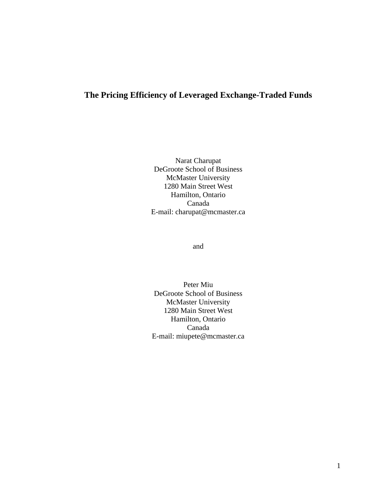# **The Pricing Efficiency of Leveraged Exchange-Traded Funds**

Narat Charupat DeGroote School of Business McMaster University 1280 Main Street West Hamilton, Ontario Canada E-mail: charupat@mcmaster.ca

and

Peter Miu DeGroote School of Business McMaster University 1280 Main Street West Hamilton, Ontario Canada E-mail: miupete@mcmaster.ca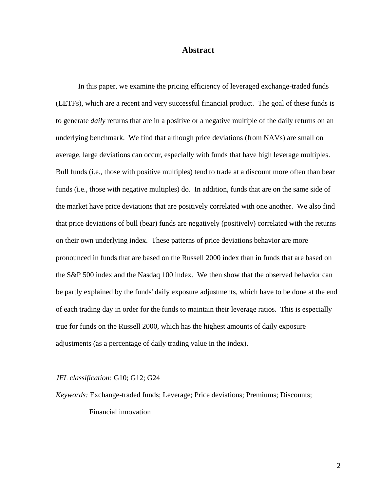## **Abstract**

 In this paper, we examine the pricing efficiency of leveraged exchange-traded funds (LETFs), which are a recent and very successful financial product. The goal of these funds is to generate *daily* returns that are in a positive or a negative multiple of the daily returns on an underlying benchmark. We find that although price deviations (from NAVs) are small on average, large deviations can occur, especially with funds that have high leverage multiples. Bull funds (i.e., those with positive multiples) tend to trade at a discount more often than bear funds (i.e., those with negative multiples) do. In addition, funds that are on the same side of the market have price deviations that are positively correlated with one another. We also find that price deviations of bull (bear) funds are negatively (positively) correlated with the returns on their own underlying index. These patterns of price deviations behavior are more pronounced in funds that are based on the Russell 2000 index than in funds that are based on the S&P 500 index and the Nasdaq 100 index. We then show that the observed behavior can be partly explained by the funds' daily exposure adjustments, which have to be done at the end of each trading day in order for the funds to maintain their leverage ratios. This is especially true for funds on the Russell 2000, which has the highest amounts of daily exposure adjustments (as a percentage of daily trading value in the index).

#### *JEL classification:* G10; G12; G24

*Keywords:* Exchange-traded funds; Leverage; Price deviations; Premiums; Discounts;

Financial innovation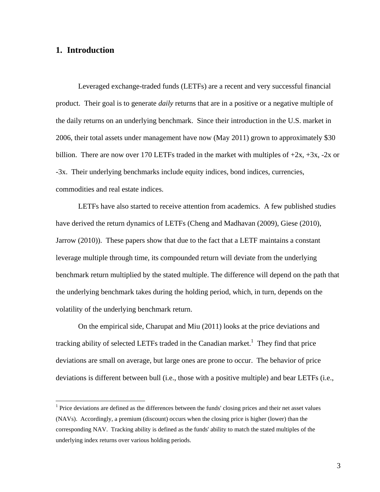# **1. Introduction**

 $\overline{a}$ 

 Leveraged exchange-traded funds (LETFs) are a recent and very successful financial product. Their goal is to generate *daily* returns that are in a positive or a negative multiple of the daily returns on an underlying benchmark. Since their introduction in the U.S. market in 2006, their total assets under management have now (May 2011) grown to approximately \$30 billion. There are now over 170 LETFs traded in the market with multiples of  $+2x$ ,  $+3x$ ,  $-2x$  or -3x. Their underlying benchmarks include equity indices, bond indices, currencies, commodities and real estate indices.

 LETFs have also started to receive attention from academics. A few published studies have derived the return dynamics of LETFs (Cheng and Madhavan (2009), Giese (2010), Jarrow (2010)). These papers show that due to the fact that a LETF maintains a constant leverage multiple through time, its compounded return will deviate from the underlying benchmark return multiplied by the stated multiple. The difference will depend on the path that the underlying benchmark takes during the holding period, which, in turn, depends on the volatility of the underlying benchmark return.

On the empirical side, Charupat and Miu (2011) looks at the price deviations and tracking ability of selected LETFs traded in the Canadian market.<sup>1</sup> They find that price deviations are small on average, but large ones are prone to occur. The behavior of price deviations is different between bull (i.e., those with a positive multiple) and bear LETFs (i.e.,

 $<sup>1</sup>$  Price deviations are defined as the differences between the funds' closing prices and their net asset values</sup> (NAVs). Accordingly, a premium (discount) occurs when the closing price is higher (lower) than the corresponding NAV. Tracking ability is defined as the funds' ability to match the stated multiples of the underlying index returns over various holding periods.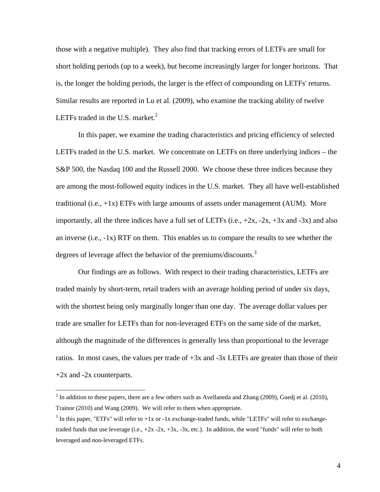those with a negative multiple). They also find that tracking errors of LETFs are small for short holding periods (up to a week), but become increasingly larger for longer horizons. That is, the longer the holding periods, the larger is the effect of compounding on LETFs' returns. Similar results are reported in Lu et al. (2009), who examine the tracking ability of twelve LETFs traded in the U.S. market. $2$ 

In this paper, we examine the trading characteristics and pricing efficiency of selected LETFs traded in the U.S. market. We concentrate on LETFs on three underlying indices – the S&P 500, the Nasdaq 100 and the Russell 2000. We choose these three indices because they are among the most-followed equity indices in the U.S. market. They all have well-established traditional (i.e., +1x) ETFs with large amounts of assets under management (AUM). More importantly, all the three indices have a full set of LETFs (i.e.,  $+2x$ ,  $-2x$ ,  $+3x$  and  $-3x$ ) and also an inverse (i.e.,  $-1x$ ) RTF on them. This enables us to compare the results to see whether the degrees of leverage affect the behavior of the premiums/discounts.<sup>3</sup>

Our findings are as follows. With respect to their trading characteristics, LETFs are traded mainly by short-term, retail traders with an average holding period of under six days, with the shortest being only marginally longer than one day. The average dollar values per trade are smaller for LETFs than for non-leveraged ETFs on the same side of the market, although the magnitude of the differences is generally less than proportional to the leverage ratios. In most cases, the values per trade of +3x and -3x LETFs are greater than those of their +2x and -2x counterparts.

 $\overline{a}$ 

<sup>&</sup>lt;sup>2</sup> In addition to these papers, there are a few others such as Avellaneda and Zhang (2009), Guedj et al. (2010), Trainor (2010) and Wang (2009). We will refer to them when appropriate.

<sup>&</sup>lt;sup>3</sup> In this paper, "ETFs" will refer to  $+1x$  or  $-1x$  exchange-traded funds, while "LETFs" will refer to exchangetraded funds that use leverage  $(i.e., +2x - 2x, +3x, -3x, etc.).$  In addition, the word "funds" will refer to both leveraged and non-leveraged ETFs.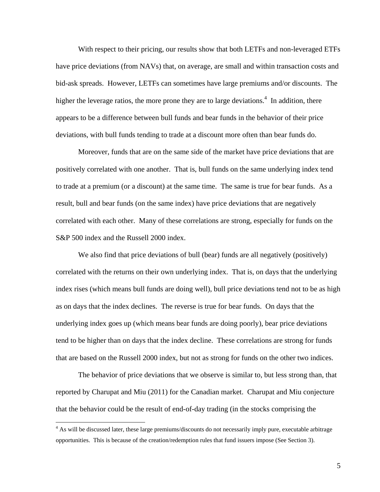With respect to their pricing, our results show that both LETFs and non-leveraged ETFs have price deviations (from NAVs) that, on average, are small and within transaction costs and bid-ask spreads. However, LETFs can sometimes have large premiums and/or discounts. The higher the leverage ratios, the more prone they are to large deviations.<sup>4</sup> In addition, there appears to be a difference between bull funds and bear funds in the behavior of their price deviations, with bull funds tending to trade at a discount more often than bear funds do.

Moreover, funds that are on the same side of the market have price deviations that are positively correlated with one another. That is, bull funds on the same underlying index tend to trade at a premium (or a discount) at the same time. The same is true for bear funds. As a result, bull and bear funds (on the same index) have price deviations that are negatively correlated with each other. Many of these correlations are strong, especially for funds on the S&P 500 index and the Russell 2000 index.

We also find that price deviations of bull (bear) funds are all negatively (positively) correlated with the returns on their own underlying index. That is, on days that the underlying index rises (which means bull funds are doing well), bull price deviations tend not to be as high as on days that the index declines. The reverse is true for bear funds. On days that the underlying index goes up (which means bear funds are doing poorly), bear price deviations tend to be higher than on days that the index decline. These correlations are strong for funds that are based on the Russell 2000 index, but not as strong for funds on the other two indices.

The behavior of price deviations that we observe is similar to, but less strong than, that reported by Charupat and Miu (2011) for the Canadian market. Charupat and Miu conjecture that the behavior could be the result of end-of-day trading (in the stocks comprising the

 $\overline{a}$ 

<sup>&</sup>lt;sup>4</sup> As will be discussed later, these large premiums/discounts do not necessarily imply pure, executable arbitrage opportunities. This is because of the creation/redemption rules that fund issuers impose (See Section 3).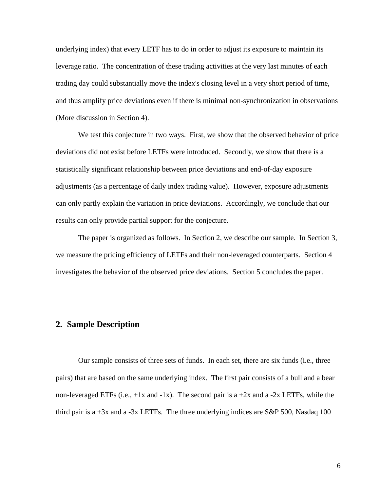underlying index) that every LETF has to do in order to adjust its exposure to maintain its leverage ratio. The concentration of these trading activities at the very last minutes of each trading day could substantially move the index's closing level in a very short period of time, and thus amplify price deviations even if there is minimal non-synchronization in observations (More discussion in Section 4).

We test this conjecture in two ways. First, we show that the observed behavior of price deviations did not exist before LETFs were introduced. Secondly, we show that there is a statistically significant relationship between price deviations and end-of-day exposure adjustments (as a percentage of daily index trading value). However, exposure adjustments can only partly explain the variation in price deviations. Accordingly, we conclude that our results can only provide partial support for the conjecture.

The paper is organized as follows. In Section 2, we describe our sample. In Section 3, we measure the pricing efficiency of LETFs and their non-leveraged counterparts. Section 4 investigates the behavior of the observed price deviations. Section 5 concludes the paper.

## **2. Sample Description**

 Our sample consists of three sets of funds. In each set, there are six funds (i.e., three pairs) that are based on the same underlying index. The first pair consists of a bull and a bear non-leveraged ETFs (i.e.,  $+1x$  and  $-1x$ ). The second pair is a  $+2x$  and a  $-2x$  LETFs, while the third pair is a  $+3x$  and a  $-3x$  LETFs. The three underlying indices are S&P 500, Nasdaq 100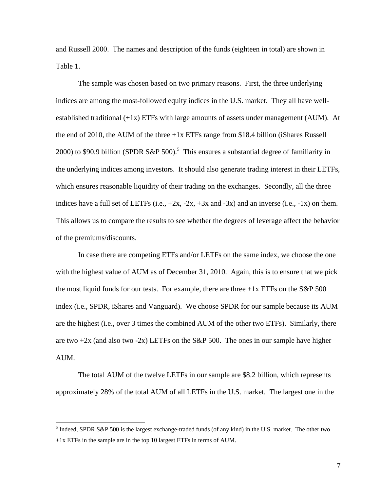and Russell 2000. The names and description of the funds (eighteen in total) are shown in Table 1.

 The sample was chosen based on two primary reasons. First, the three underlying indices are among the most-followed equity indices in the U.S. market. They all have wellestablished traditional  $(+1x)$  ETFs with large amounts of assets under management (AUM). At the end of 2010, the AUM of the three  $+1x$  ETFs range from \$18.4 billion (iShares Russell 2000) to \$90.9 billion (SPDR S&P 500).<sup>5</sup> This ensures a substantial degree of familiarity in the underlying indices among investors. It should also generate trading interest in their LETFs, which ensures reasonable liquidity of their trading on the exchanges. Secondly, all the three indices have a full set of LETFs (i.e.,  $+2x$ ,  $-2x$ ,  $+3x$  and  $-3x$ ) and an inverse (i.e.,  $-1x$ ) on them. This allows us to compare the results to see whether the degrees of leverage affect the behavior of the premiums/discounts.

 In case there are competing ETFs and/or LETFs on the same index, we choose the one with the highest value of AUM as of December 31, 2010. Again, this is to ensure that we pick the most liquid funds for our tests. For example, there are three  $+1x$  ETFs on the S&P 500 index (i.e., SPDR, iShares and Vanguard). We choose SPDR for our sample because its AUM are the highest (i.e., over 3 times the combined AUM of the other two ETFs). Similarly, there are two  $+2x$  (and also two  $-2x$ ) LETFs on the S&P 500. The ones in our sample have higher AUM.

 The total AUM of the twelve LETFs in our sample are \$8.2 billion, which represents approximately 28% of the total AUM of all LETFs in the U.S. market. The largest one in the

 $\overline{a}$ 

 $<sup>5</sup>$  Indeed, SPDR S&P 500 is the largest exchange-traded funds (of any kind) in the U.S. market. The other two</sup> +1x ETFs in the sample are in the top 10 largest ETFs in terms of AUM.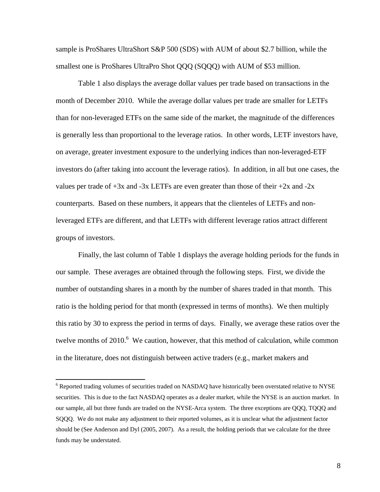sample is ProShares UltraShort S&P 500 (SDS) with AUM of about \$2.7 billion, while the smallest one is ProShares UltraPro Shot QQQ (SQQQ) with AUM of \$53 million.

 Table 1 also displays the average dollar values per trade based on transactions in the month of December 2010. While the average dollar values per trade are smaller for LETFs than for non-leveraged ETFs on the same side of the market, the magnitude of the differences is generally less than proportional to the leverage ratios. In other words, LETF investors have, on average, greater investment exposure to the underlying indices than non-leveraged-ETF investors do (after taking into account the leverage ratios). In addition, in all but one cases, the values per trade of  $+3x$  and  $-3x$  LETFs are even greater than those of their  $+2x$  and  $-2x$ counterparts. Based on these numbers, it appears that the clienteles of LETFs and nonleveraged ETFs are different, and that LETFs with different leverage ratios attract different groups of investors.

 Finally, the last column of Table 1 displays the average holding periods for the funds in our sample. These averages are obtained through the following steps. First, we divide the number of outstanding shares in a month by the number of shares traded in that month. This ratio is the holding period for that month (expressed in terms of months). We then multiply this ratio by 30 to express the period in terms of days. Finally, we average these ratios over the twelve months of  $2010$ . We caution, however, that this method of calculation, while common in the literature, does not distinguish between active traders (e.g., market makers and

<sup>&</sup>lt;sup>6</sup> Reported trading volumes of securities traded on NASDAQ have historically been overstated relative to NYSE securities. This is due to the fact NASDAQ operates as a dealer market, while the NYSE is an auction market. In our sample, all but three funds are traded on the NYSE-Arca system. The three exceptions are QQQ, TQQQ and SQQQ. We do not make any adjustment to their reported volumes, as it is unclear what the adjustment factor should be (See Anderson and Dyl (2005, 2007). As a result, the holding periods that we calculate for the three funds may be understated.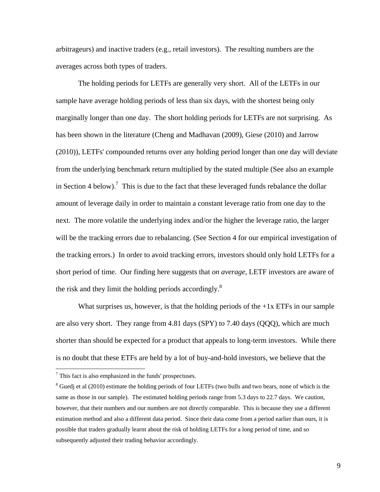arbitrageurs) and inactive traders (e.g., retail investors). The resulting numbers are the averages across both types of traders.

 The holding periods for LETFs are generally very short. All of the LETFs in our sample have average holding periods of less than six days, with the shortest being only marginally longer than one day. The short holding periods for LETFs are not surprising. As has been shown in the literature (Cheng and Madhavan (2009), Giese (2010) and Jarrow (2010)), LETFs' compounded returns over any holding period longer than one day will deviate from the underlying benchmark return multiplied by the stated multiple (See also an example in Section 4 below).<sup>7</sup> This is due to the fact that these leveraged funds rebalance the dollar amount of leverage daily in order to maintain a constant leverage ratio from one day to the next. The more volatile the underlying index and/or the higher the leverage ratio, the larger will be the tracking errors due to rebalancing. (See Section 4 for our empirical investigation of the tracking errors.) In order to avoid tracking errors, investors should only hold LETFs for a short period of time. Our finding here suggests that *on average*, LETF investors are aware of the risk and they limit the holding periods accordingly. $8$ 

What surprises us, however, is that the holding periods of the  $+1x$  ETFs in our sample are also very short. They range from 4.81 days (SPY) to 7.40 days (QQQ), which are much shorter than should be expected for a product that appeals to long-term investors. While there is no doubt that these ETFs are held by a lot of buy-and-hold investors, we believe that the

 $\overline{a}$ 

 $7$  This fact is also emphasized in the funds' prospectuses.

 $8$  Guedj et al (2010) estimate the holding periods of four LETFs (two bulls and two bears, none of which is the same as those in our sample). The estimated holding periods range from 5.3 days to 22.7 days. We caution, however, that their numbers and our numbers are not directly comparable. This is because they use a different estimation method and also a different data period. Since their data come from a period earlier than ours, it is possible that traders gradually learnt about the risk of holding LETFs for a long period of time, and so subsequently adjusted their trading behavior accordingly.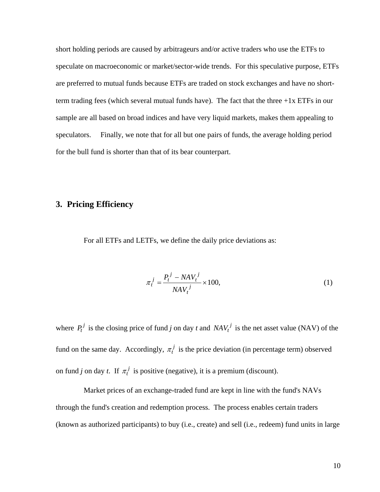short holding periods are caused by arbitrageurs and/or active traders who use the ETFs to speculate on macroeconomic or market/sector-wide trends. For this speculative purpose, ETFs are preferred to mutual funds because ETFs are traded on stock exchanges and have no shortterm trading fees (which several mutual funds have). The fact that the three  $+1x$  ETFs in our sample are all based on broad indices and have very liquid markets, makes them appealing to speculators. Finally, we note that for all but one pairs of funds, the average holding period for the bull fund is shorter than that of its bear counterpart.

# **3. Pricing Efficiency**

For all ETFs and LETFs, we define the daily price deviations as:

$$
\pi_t^j = \frac{P_t^j - NAV_t^j}{NAV_t^j} \times 100,\tag{1}
$$

where  $P_t^j$  is the closing price of fund *j* on day *t* and  $NAV_t^j$  is the net asset value (NAV) of the fund on the same day. Accordingly,  $\pi_t^j$  is the price deviation (in percentage term) observed on fund *j* on day *t*. If  $\pi_t^j$  is positive (negative), it is a premium (discount).

 Market prices of an exchange-traded fund are kept in line with the fund's NAVs through the fund's creation and redemption process. The process enables certain traders (known as authorized participants) to buy (i.e., create) and sell (i.e., redeem) fund units in large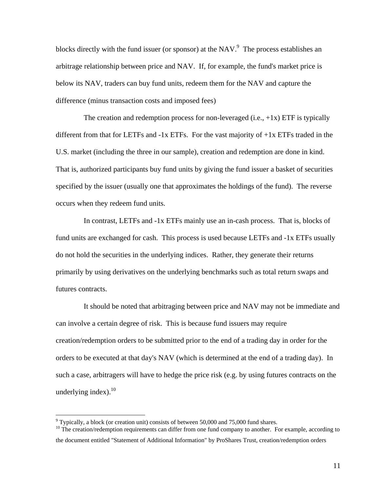blocks directly with the fund issuer (or sponsor) at the NAV. $9$  The process establishes an arbitrage relationship between price and NAV. If, for example, the fund's market price is below its NAV, traders can buy fund units, redeem them for the NAV and capture the difference (minus transaction costs and imposed fees)

The creation and redemption process for non-leveraged (i.e.,  $+1x$ ) ETF is typically different from that for LETFs and  $-1x$  ETFs. For the vast majority of  $+1x$  ETFs traded in the U.S. market (including the three in our sample), creation and redemption are done in kind. That is, authorized participants buy fund units by giving the fund issuer a basket of securities specified by the issuer (usually one that approximates the holdings of the fund). The reverse occurs when they redeem fund units.

 In contrast, LETFs and -1x ETFs mainly use an in-cash process. That is, blocks of fund units are exchanged for cash. This process is used because LETFs and -1x ETFs usually do not hold the securities in the underlying indices. Rather, they generate their returns primarily by using derivatives on the underlying benchmarks such as total return swaps and futures contracts.

 It should be noted that arbitraging between price and NAV may not be immediate and can involve a certain degree of risk. This is because fund issuers may require creation/redemption orders to be submitted prior to the end of a trading day in order for the orders to be executed at that day's NAV (which is determined at the end of a trading day). In such a case, arbitragers will have to hedge the price risk (e.g. by using futures contracts on the underlying index). $10$ 

<sup>10</sup> The creation/redemption requirements can differ from one fund company to another. For example, according to the document entitled "Statement of Additional Information" by ProShares Trust, creation/redemption orders

Typically, a block (or creation unit) consists of between 50,000 and 75,000 fund shares.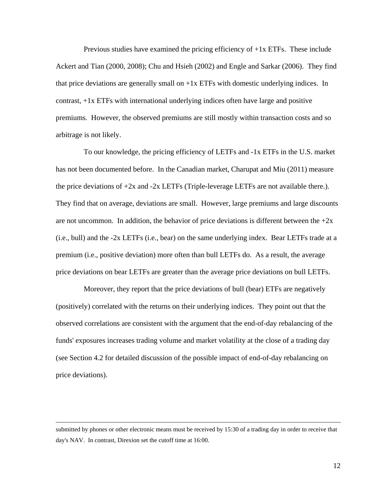Previous studies have examined the pricing efficiency of +1x ETFs. These include Ackert and Tian (2000, 2008); Chu and Hsieh (2002) and Engle and Sarkar (2006). They find that price deviations are generally small on  $+1x$  ETFs with domestic underlying indices. In contrast, +1x ETFs with international underlying indices often have large and positive premiums. However, the observed premiums are still mostly within transaction costs and so arbitrage is not likely.

 To our knowledge, the pricing efficiency of LETFs and -1x ETFs in the U.S. market has not been documented before. In the Canadian market, Charupat and Miu (2011) measure the price deviations of  $+2x$  and  $-2x$  LETFs (Triple-leverage LETFs are not available there.). They find that on average, deviations are small. However, large premiums and large discounts are not uncommon. In addition, the behavior of price deviations is different between the  $+2x$ (i.e., bull) and the -2x LETFs (i.e., bear) on the same underlying index. Bear LETFs trade at a premium (i.e., positive deviation) more often than bull LETFs do. As a result, the average price deviations on bear LETFs are greater than the average price deviations on bull LETFs.

 Moreover, they report that the price deviations of bull (bear) ETFs are negatively (positively) correlated with the returns on their underlying indices. They point out that the observed correlations are consistent with the argument that the end-of-day rebalancing of the funds' exposures increases trading volume and market volatility at the close of a trading day (see Section 4.2 for detailed discussion of the possible impact of end-of-day rebalancing on price deviations).

submitted by phones or other electronic means must be received by 15:30 of a trading day in order to receive that day's NAV. In contrast, Direxion set the cutoff time at 16:00.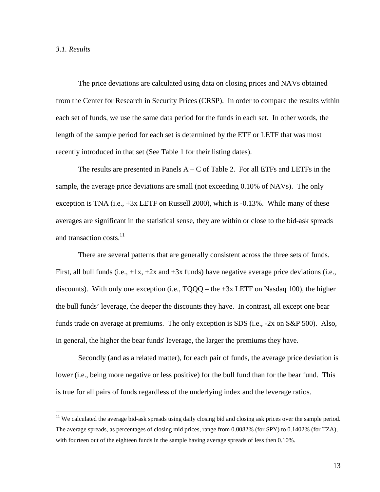#### *3.1. Results*

 $\overline{a}$ 

The price deviations are calculated using data on closing prices and NAVs obtained from the Center for Research in Security Prices (CRSP). In order to compare the results within each set of funds, we use the same data period for the funds in each set. In other words, the length of the sample period for each set is determined by the ETF or LETF that was most recently introduced in that set (See Table 1 for their listing dates).

The results are presented in Panels  $A - C$  of Table 2. For all ETFs and LETFs in the sample, the average price deviations are small (not exceeding 0.10% of NAVs). The only exception is TNA (i.e.,  $+3x$  LETF on Russell 2000), which is  $-0.13\%$ . While many of these averages are significant in the statistical sense, they are within or close to the bid-ask spreads and transaction costs.<sup>11</sup>

 There are several patterns that are generally consistent across the three sets of funds. First, all bull funds (i.e.,  $+1x$ ,  $+2x$  and  $+3x$  funds) have negative average price deviations (i.e., discounts). With only one exception (i.e.,  $TQQQ -$  the  $+3x$  LETF on Nasdaq 100), the higher the bull funds' leverage, the deeper the discounts they have. In contrast, all except one bear funds trade on average at premiums. The only exception is SDS (i.e., -2x on S&P 500). Also, in general, the higher the bear funds' leverage, the larger the premiums they have.

Secondly (and as a related matter), for each pair of funds, the average price deviation is lower (i.e., being more negative or less positive) for the bull fund than for the bear fund. This is true for all pairs of funds regardless of the underlying index and the leverage ratios.

<sup>&</sup>lt;sup>11</sup> We calculated the average bid-ask spreads using daily closing bid and closing ask prices over the sample period. The average spreads, as percentages of closing mid prices, range from 0.0082% (for SPY) to 0.1402% (for TZA), with fourteen out of the eighteen funds in the sample having average spreads of less then 0.10%.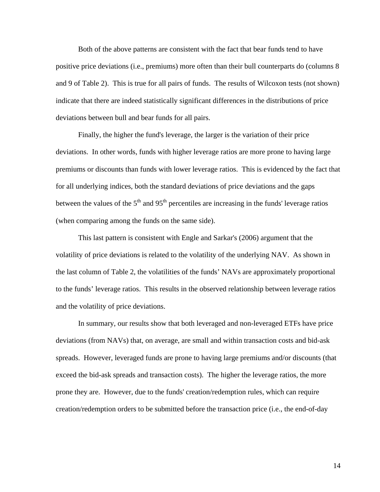Both of the above patterns are consistent with the fact that bear funds tend to have positive price deviations (i.e., premiums) more often than their bull counterparts do (columns 8 and 9 of Table 2). This is true for all pairs of funds. The results of Wilcoxon tests (not shown) indicate that there are indeed statistically significant differences in the distributions of price deviations between bull and bear funds for all pairs.

Finally, the higher the fund's leverage, the larger is the variation of their price deviations. In other words, funds with higher leverage ratios are more prone to having large premiums or discounts than funds with lower leverage ratios. This is evidenced by the fact that for all underlying indices, both the standard deviations of price deviations and the gaps between the values of the  $5<sup>th</sup>$  and  $95<sup>th</sup>$  percentiles are increasing in the funds' leverage ratios (when comparing among the funds on the same side).

This last pattern is consistent with Engle and Sarkar's (2006) argument that the volatility of price deviations is related to the volatility of the underlying NAV. As shown in the last column of Table 2, the volatilities of the funds' NAVs are approximately proportional to the funds' leverage ratios. This results in the observed relationship between leverage ratios and the volatility of price deviations.

In summary, our results show that both leveraged and non-leveraged ETFs have price deviations (from NAVs) that, on average, are small and within transaction costs and bid-ask spreads. However, leveraged funds are prone to having large premiums and/or discounts (that exceed the bid-ask spreads and transaction costs). The higher the leverage ratios, the more prone they are. However, due to the funds' creation/redemption rules, which can require creation/redemption orders to be submitted before the transaction price (i.e., the end-of-day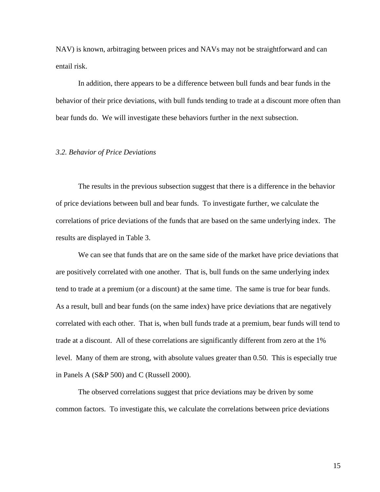NAV) is known, arbitraging between prices and NAVs may not be straightforward and can entail risk.

In addition, there appears to be a difference between bull funds and bear funds in the behavior of their price deviations, with bull funds tending to trade at a discount more often than bear funds do. We will investigate these behaviors further in the next subsection.

#### *3.2. Behavior of Price Deviations*

The results in the previous subsection suggest that there is a difference in the behavior of price deviations between bull and bear funds. To investigate further, we calculate the correlations of price deviations of the funds that are based on the same underlying index. The results are displayed in Table 3.

We can see that funds that are on the same side of the market have price deviations that are positively correlated with one another. That is, bull funds on the same underlying index tend to trade at a premium (or a discount) at the same time. The same is true for bear funds. As a result, bull and bear funds (on the same index) have price deviations that are negatively correlated with each other. That is, when bull funds trade at a premium, bear funds will tend to trade at a discount. All of these correlations are significantly different from zero at the 1% level. Many of them are strong, with absolute values greater than 0.50. This is especially true in Panels A (S&P 500) and C (Russell 2000).

The observed correlations suggest that price deviations may be driven by some common factors. To investigate this, we calculate the correlations between price deviations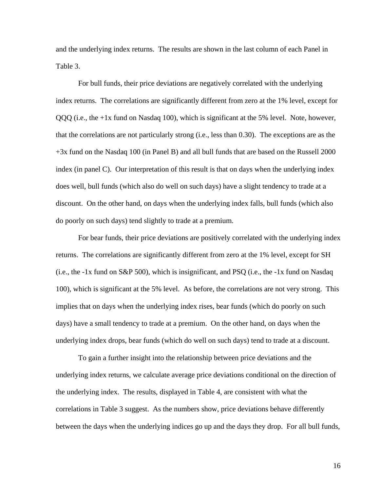and the underlying index returns. The results are shown in the last column of each Panel in Table 3.

For bull funds, their price deviations are negatively correlated with the underlying index returns. The correlations are significantly different from zero at the 1% level, except for QQQ (i.e., the +1x fund on Nasdaq 100), which is significant at the 5% level. Note, however, that the correlations are not particularly strong (i.e., less than 0.30). The exceptions are as the +3x fund on the Nasdaq 100 (in Panel B) and all bull funds that are based on the Russell 2000 index (in panel C). Our interpretation of this result is that on days when the underlying index does well, bull funds (which also do well on such days) have a slight tendency to trade at a discount. On the other hand, on days when the underlying index falls, bull funds (which also do poorly on such days) tend slightly to trade at a premium.

For bear funds, their price deviations are positively correlated with the underlying index returns. The correlations are significantly different from zero at the 1% level, except for SH (i.e., the  $-1x$  fund on S&P 500), which is insignificant, and PSQ (i.e., the  $-1x$  fund on Nasdaq 100), which is significant at the 5% level. As before, the correlations are not very strong. This implies that on days when the underlying index rises, bear funds (which do poorly on such days) have a small tendency to trade at a premium. On the other hand, on days when the underlying index drops, bear funds (which do well on such days) tend to trade at a discount.

To gain a further insight into the relationship between price deviations and the underlying index returns, we calculate average price deviations conditional on the direction of the underlying index. The results, displayed in Table 4, are consistent with what the correlations in Table 3 suggest. As the numbers show, price deviations behave differently between the days when the underlying indices go up and the days they drop. For all bull funds,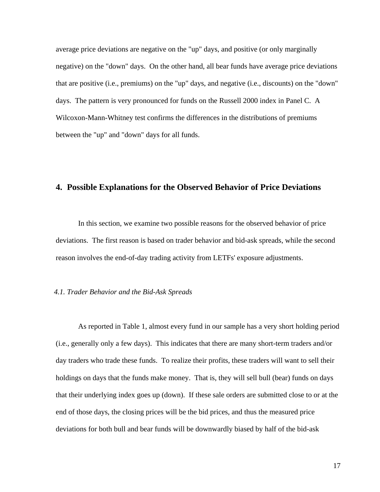average price deviations are negative on the "up" days, and positive (or only marginally negative) on the "down" days. On the other hand, all bear funds have average price deviations that are positive (i.e., premiums) on the "up" days, and negative (i.e., discounts) on the "down" days. The pattern is very pronounced for funds on the Russell 2000 index in Panel C. A Wilcoxon-Mann-Whitney test confirms the differences in the distributions of premiums between the "up" and "down" days for all funds.

## **4. Possible Explanations for the Observed Behavior of Price Deviations**

In this section, we examine two possible reasons for the observed behavior of price deviations. The first reason is based on trader behavior and bid-ask spreads, while the second reason involves the end-of-day trading activity from LETFs' exposure adjustments.

#### *4.1. Trader Behavior and the Bid-Ask Spreads*

As reported in Table 1, almost every fund in our sample has a very short holding period (i.e., generally only a few days). This indicates that there are many short-term traders and/or day traders who trade these funds. To realize their profits, these traders will want to sell their holdings on days that the funds make money. That is, they will sell bull (bear) funds on days that their underlying index goes up (down). If these sale orders are submitted close to or at the end of those days, the closing prices will be the bid prices, and thus the measured price deviations for both bull and bear funds will be downwardly biased by half of the bid-ask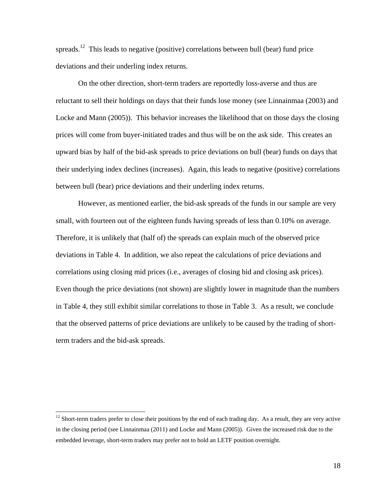spreads.<sup>12</sup> This leads to negative (positive) correlations between bull (bear) fund price deviations and their underling index returns.

On the other direction, short-term traders are reportedly loss-averse and thus are reluctant to sell their holdings on days that their funds lose money (see Linnainmaa (2003) and Locke and Mann (2005)). This behavior increases the likelihood that on those days the closing prices will come from buyer-initiated trades and thus will be on the ask side. This creates an upward bias by half of the bid-ask spreads to price deviations on bull (bear) funds on days that their underlying index declines (increases). Again, this leads to negative (positive) correlations between bull (bear) price deviations and their underling index returns.

However, as mentioned earlier, the bid-ask spreads of the funds in our sample are very small, with fourteen out of the eighteen funds having spreads of less than 0.10% on average. Therefore, it is unlikely that (half of) the spreads can explain much of the observed price deviations in Table 4. In addition, we also repeat the calculations of price deviations and correlations using closing mid prices (i.e., averages of closing bid and closing ask prices). Even though the price deviations (not shown) are slightly lower in magnitude than the numbers in Table 4, they still exhibit similar correlations to those in Table 3. As a result, we conclude that the observed patterns of price deviations are unlikely to be caused by the trading of shortterm traders and the bid-ask spreads.

 $\overline{a}$ 

 $12$  Short-term traders prefer to close their positions by the end of each trading day. As a result, they are very active in the closing period (see Linnainmaa (2011) and Locke and Mann (2005)). Given the increased risk due to the embedded leverage, short-term traders may prefer not to hold an LETF position overnight.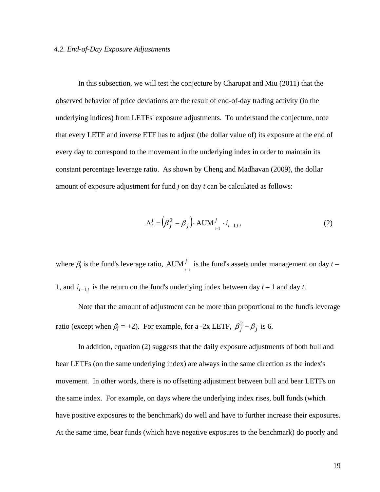#### *4.2. End-of-Day Exposure Adjustments*

In this subsection, we will test the conjecture by Charupat and Miu (2011) that the observed behavior of price deviations are the result of end-of-day trading activity (in the underlying indices) from LETFs' exposure adjustments. To understand the conjecture, note that every LETF and inverse ETF has to adjust (the dollar value of) its exposure at the end of every day to correspond to the movement in the underlying index in order to maintain its constant percentage leverage ratio. As shown by Cheng and Madhavan (2009), the dollar amount of exposure adjustment for fund *j* on day *t* can be calculated as follows:

$$
\Delta_t^j = \left(\beta_j^2 - \beta_j\right) \cdot \text{AUM}_{t-1}^j \cdot i_{t-1,t},\tag{2}
$$

where  $\beta_j$  is the fund's leverage ratio, AUM  $_{i=1}^j$  is the fund's assets under management on day  $t-$ 1, and  $i_{t-1,t}$  is the return on the fund's underlying index between day  $t-1$  and day  $t$ .

Note that the amount of adjustment can be more than proportional to the fund's leverage ratio (except when  $\beta_j = +2$ ). For example, for a -2x LETF,  $\beta_j^2 - \beta_j$  is 6.

In addition, equation (2) suggests that the daily exposure adjustments of both bull and bear LETFs (on the same underlying index) are always in the same direction as the index's movement. In other words, there is no offsetting adjustment between bull and bear LETFs on the same index. For example, on days where the underlying index rises, bull funds (which have positive exposures to the benchmark) do well and have to further increase their exposures. At the same time, bear funds (which have negative exposures to the benchmark) do poorly and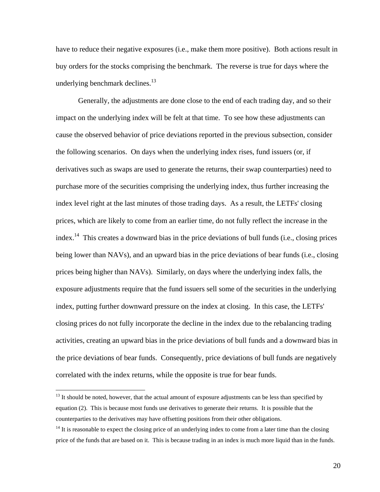have to reduce their negative exposures (i.e., make them more positive). Both actions result in buy orders for the stocks comprising the benchmark. The reverse is true for days where the underlying benchmark declines. $13$ 

Generally, the adjustments are done close to the end of each trading day, and so their impact on the underlying index will be felt at that time. To see how these adjustments can cause the observed behavior of price deviations reported in the previous subsection, consider the following scenarios. On days when the underlying index rises, fund issuers (or, if derivatives such as swaps are used to generate the returns, their swap counterparties) need to purchase more of the securities comprising the underlying index, thus further increasing the index level right at the last minutes of those trading days. As a result, the LETFs' closing prices, which are likely to come from an earlier time, do not fully reflect the increase in the index.<sup>14</sup> This creates a downward bias in the price deviations of bull funds (i.e., closing prices being lower than NAVs), and an upward bias in the price deviations of bear funds (i.e., closing prices being higher than NAVs). Similarly, on days where the underlying index falls, the exposure adjustments require that the fund issuers sell some of the securities in the underlying index, putting further downward pressure on the index at closing. In this case, the LETFs' closing prices do not fully incorporate the decline in the index due to the rebalancing trading activities, creating an upward bias in the price deviations of bull funds and a downward bias in the price deviations of bear funds. Consequently, price deviations of bull funds are negatively correlated with the index returns, while the opposite is true for bear funds.

 $13$  It should be noted, however, that the actual amount of exposure adjustments can be less than specified by equation (2). This is because most funds use derivatives to generate their returns. It is possible that the counterparties to the derivatives may have offsetting positions from their other obligations.

 $14$  It is reasonable to expect the closing price of an underlying index to come from a later time than the closing price of the funds that are based on it. This is because trading in an index is much more liquid than in the funds.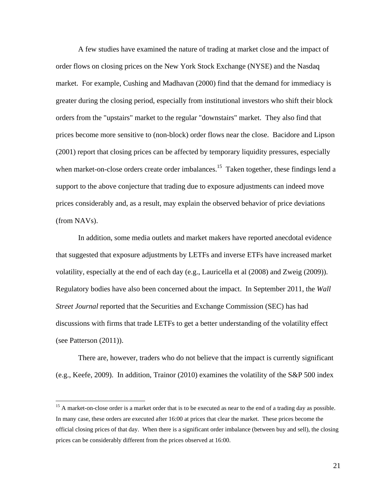A few studies have examined the nature of trading at market close and the impact of order flows on closing prices on the New York Stock Exchange (NYSE) and the Nasdaq market. For example, Cushing and Madhavan (2000) find that the demand for immediacy is greater during the closing period, especially from institutional investors who shift their block orders from the "upstairs" market to the regular "downstairs" market. They also find that prices become more sensitive to (non-block) order flows near the close. Bacidore and Lipson (2001) report that closing prices can be affected by temporary liquidity pressures, especially when market-on-close orders create order imbalances.<sup>15</sup> Taken together, these findings lend a support to the above conjecture that trading due to exposure adjustments can indeed move prices considerably and, as a result, may explain the observed behavior of price deviations (from NAVs).

In addition, some media outlets and market makers have reported anecdotal evidence that suggested that exposure adjustments by LETFs and inverse ETFs have increased market volatility, especially at the end of each day (e.g., Lauricella et al (2008) and Zweig (2009)). Regulatory bodies have also been concerned about the impact. In September 2011, the *Wall Street Journal* reported that the Securities and Exchange Commission (SEC) has had discussions with firms that trade LETFs to get a better understanding of the volatility effect (see Patterson (2011)).

There are, however, traders who do not believe that the impact is currently significant (e.g., Keefe, 2009). In addition, Trainor (2010) examines the volatility of the S&P 500 index

<sup>&</sup>lt;sup>15</sup> A market-on-close order is a market order that is to be executed as near to the end of a trading day as possible. In many case, these orders are executed after 16:00 at prices that clear the market. These prices become the official closing prices of that day. When there is a significant order imbalance (between buy and sell), the closing prices can be considerably different from the prices observed at 16:00.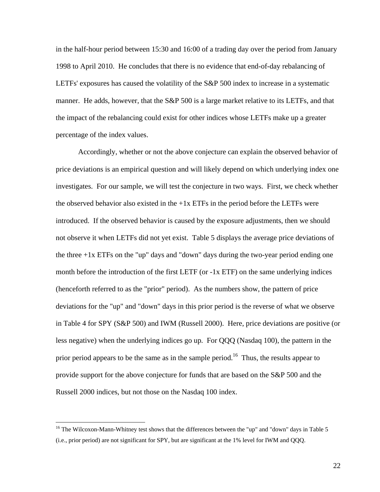in the half-hour period between 15:30 and 16:00 of a trading day over the period from January 1998 to April 2010. He concludes that there is no evidence that end-of-day rebalancing of LETFs' exposures has caused the volatility of the S&P 500 index to increase in a systematic manner. He adds, however, that the S&P 500 is a large market relative to its LETFs, and that the impact of the rebalancing could exist for other indices whose LETFs make up a greater percentage of the index values.

Accordingly, whether or not the above conjecture can explain the observed behavior of price deviations is an empirical question and will likely depend on which underlying index one investigates. For our sample, we will test the conjecture in two ways. First, we check whether the observed behavior also existed in the  $+1x$  ETFs in the period before the LETFs were introduced. If the observed behavior is caused by the exposure adjustments, then we should not observe it when LETFs did not yet exist. Table 5 displays the average price deviations of the three  $+1x$  ETFs on the "up" days and "down" days during the two-year period ending one month before the introduction of the first LETF (or -1x ETF) on the same underlying indices (henceforth referred to as the "prior" period). As the numbers show, the pattern of price deviations for the "up" and "down" days in this prior period is the reverse of what we observe in Table 4 for SPY (S&P 500) and IWM (Russell 2000). Here, price deviations are positive (or less negative) when the underlying indices go up. For QQQ (Nasdaq 100), the pattern in the prior period appears to be the same as in the sample period.<sup>16</sup> Thus, the results appear to provide support for the above conjecture for funds that are based on the S&P 500 and the Russell 2000 indices, but not those on the Nasdaq 100 index.

<sup>&</sup>lt;sup>16</sup> The Wilcoxon-Mann-Whitney test shows that the differences between the "up" and "down" days in Table 5 (i.e., prior period) are not significant for SPY, but are significant at the 1% level for IWM and QQQ.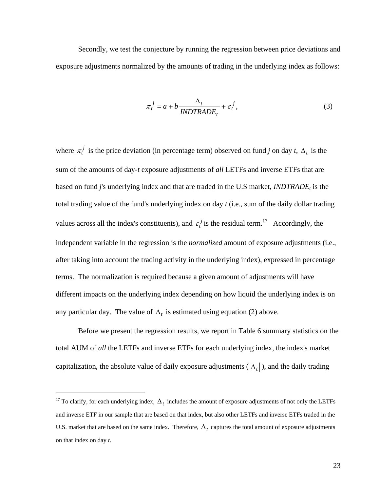Secondly, we test the conjecture by running the regression between price deviations and exposure adjustments normalized by the amounts of trading in the underlying index as follows:

$$
\pi_t^j = a + b \frac{\Delta_t}{INDTRADE_t} + \varepsilon_t^j,
$$
\n(3)

where  $\pi_t^j$  is the price deviation (in percentage term) observed on fund *j* on day *t*,  $\Delta_t$  is the sum of the amounts of day-*t* exposure adjustments of *all* LETFs and inverse ETFs that are based on fund *j*'s underlying index and that are traded in the U.S market, *INDTRADE<sub>t</sub>* is the total trading value of the fund's underlying index on day *t* (i.e., sum of the daily dollar trading values across all the index's constituents), and  $\varepsilon_t^j$  is the residual term.<sup>17</sup> Accordingly, the independent variable in the regression is the *normalized* amount of exposure adjustments (i.e., after taking into account the trading activity in the underlying index), expressed in percentage terms. The normalization is required because a given amount of adjustments will have different impacts on the underlying index depending on how liquid the underlying index is on any particular day. The value of  $\Delta_t$  is estimated using equation (2) above.

 Before we present the regression results, we report in Table 6 summary statistics on the total AUM of *all* the LETFs and inverse ETFs for each underlying index, the index's market capitalization, the absolute value of daily exposure adjustments  $(|\Delta_t|)$ , and the daily trading

<u>.</u>

<sup>&</sup>lt;sup>17</sup> To clarify, for each underlying index,  $\Delta_t$  includes the amount of exposure adjustments of not only the LETFs and inverse ETF in our sample that are based on that index, but also other LETFs and inverse ETFs traded in the U.S. market that are based on the same index. Therefore,  $\Delta_t$  captures the total amount of exposure adjustments on that index on day *t*.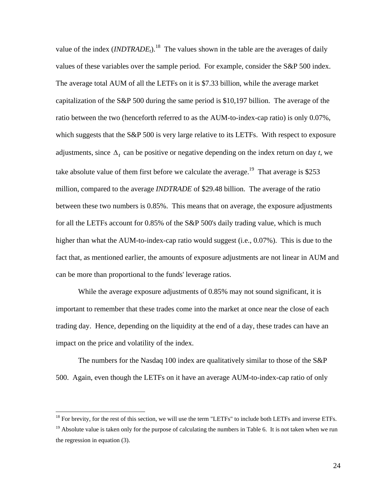value of the index  $(INDTRADE<sub>t</sub>)$ <sup>18</sup>. The values shown in the table are the averages of daily values of these variables over the sample period. For example, consider the S&P 500 index. The average total AUM of all the LETFs on it is \$7.33 billion, while the average market capitalization of the S&P 500 during the same period is \$10,197 billion. The average of the ratio between the two (henceforth referred to as the AUM-to-index-cap ratio) is only 0.07%, which suggests that the S&P 500 is very large relative to its LETFs. With respect to exposure adjustments, since  $\Delta_t$  can be positive or negative depending on the index return on day *t*, we take absolute value of them first before we calculate the average.<sup>19</sup> That average is \$253 million, compared to the average *INDTRADE* of \$29.48 billion. The average of the ratio between these two numbers is 0.85%. This means that on average, the exposure adjustments for all the LETFs account for 0.85% of the S&P 500's daily trading value, which is much higher than what the AUM-to-index-cap ratio would suggest (i.e., 0.07%). This is due to the fact that, as mentioned earlier, the amounts of exposure adjustments are not linear in AUM and can be more than proportional to the funds' leverage ratios.

While the average exposure adjustments of 0.85% may not sound significant, it is important to remember that these trades come into the market at once near the close of each trading day. Hence, depending on the liquidity at the end of a day, these trades can have an impact on the price and volatility of the index.

 The numbers for the Nasdaq 100 index are qualitatively similar to those of the S&P 500. Again, even though the LETFs on it have an average AUM-to-index-cap ratio of only

<sup>&</sup>lt;sup>18</sup> For brevity, for the rest of this section, we will use the term "LETFs" to include both LETFs and inverse ETFs.

<sup>&</sup>lt;sup>19</sup> Absolute value is taken only for the purpose of calculating the numbers in Table 6. It is not taken when we run the regression in equation (3).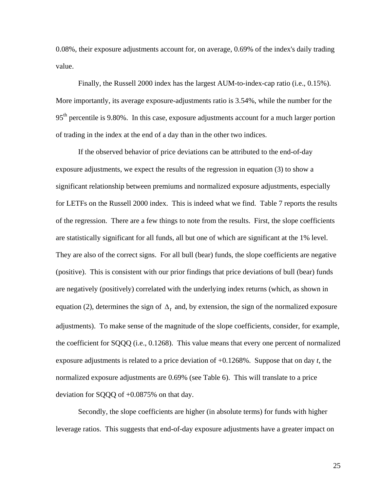0.08%, their exposure adjustments account for, on average, 0.69% of the index's daily trading value.

Finally, the Russell 2000 index has the largest AUM-to-index-cap ratio (i.e., 0.15%). More importantly, its average exposure-adjustments ratio is 3.54%, while the number for the  $95<sup>th</sup>$  percentile is 9.80%. In this case, exposure adjustments account for a much larger portion of trading in the index at the end of a day than in the other two indices.

If the observed behavior of price deviations can be attributed to the end-of-day exposure adjustments, we expect the results of the regression in equation (3) to show a significant relationship between premiums and normalized exposure adjustments, especially for LETFs on the Russell 2000 index. This is indeed what we find. Table 7 reports the results of the regression. There are a few things to note from the results. First, the slope coefficients are statistically significant for all funds, all but one of which are significant at the 1% level. They are also of the correct signs. For all bull (bear) funds, the slope coefficients are negative (positive). This is consistent with our prior findings that price deviations of bull (bear) funds are negatively (positively) correlated with the underlying index returns (which, as shown in equation (2), determines the sign of  $\Delta_t$  and, by extension, the sign of the normalized exposure adjustments). To make sense of the magnitude of the slope coefficients, consider, for example, the coefficient for SQQQ (i.e., 0.1268). This value means that every one percent of normalized exposure adjustments is related to a price deviation of +0.1268%. Suppose that on day *t*, the normalized exposure adjustments are 0.69% (see Table 6). This will translate to a price deviation for SQQQ of +0.0875% on that day.

Secondly, the slope coefficients are higher (in absolute terms) for funds with higher leverage ratios. This suggests that end-of-day exposure adjustments have a greater impact on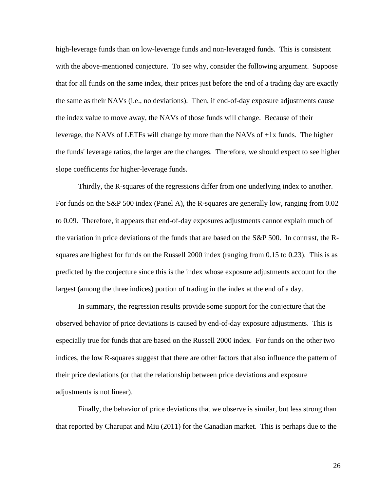high-leverage funds than on low-leverage funds and non-leveraged funds. This is consistent with the above-mentioned conjecture. To see why, consider the following argument. Suppose that for all funds on the same index, their prices just before the end of a trading day are exactly the same as their NAVs (i.e., no deviations). Then, if end-of-day exposure adjustments cause the index value to move away, the NAVs of those funds will change. Because of their leverage, the NAVs of LETFs will change by more than the NAVs of +1x funds. The higher the funds' leverage ratios, the larger are the changes. Therefore, we should expect to see higher slope coefficients for higher-leverage funds.

Thirdly, the R-squares of the regressions differ from one underlying index to another. For funds on the S&P 500 index (Panel A), the R-squares are generally low, ranging from 0.02 to 0.09. Therefore, it appears that end-of-day exposures adjustments cannot explain much of the variation in price deviations of the funds that are based on the S&P 500. In contrast, the Rsquares are highest for funds on the Russell 2000 index (ranging from 0.15 to 0.23). This is as predicted by the conjecture since this is the index whose exposure adjustments account for the largest (among the three indices) portion of trading in the index at the end of a day.

In summary, the regression results provide some support for the conjecture that the observed behavior of price deviations is caused by end-of-day exposure adjustments. This is especially true for funds that are based on the Russell 2000 index. For funds on the other two indices, the low R-squares suggest that there are other factors that also influence the pattern of their price deviations (or that the relationship between price deviations and exposure adjustments is not linear).

Finally, the behavior of price deviations that we observe is similar, but less strong than that reported by Charupat and Miu (2011) for the Canadian market. This is perhaps due to the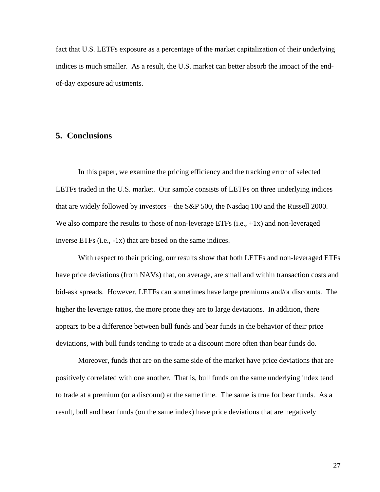fact that U.S. LETFs exposure as a percentage of the market capitalization of their underlying indices is much smaller. As a result, the U.S. market can better absorb the impact of the endof-day exposure adjustments.

## **5. Conclusions**

 In this paper, we examine the pricing efficiency and the tracking error of selected LETFs traded in the U.S. market. Our sample consists of LETFs on three underlying indices that are widely followed by investors – the S&P 500, the Nasdaq 100 and the Russell 2000. We also compare the results to those of non-leverage ETFs  $(i.e., +1x)$  and non-leveraged inverse ETFs (i.e., -1x) that are based on the same indices.

With respect to their pricing, our results show that both LETFs and non-leveraged ETFs have price deviations (from NAVs) that, on average, are small and within transaction costs and bid-ask spreads. However, LETFs can sometimes have large premiums and/or discounts. The higher the leverage ratios, the more prone they are to large deviations. In addition, there appears to be a difference between bull funds and bear funds in the behavior of their price deviations, with bull funds tending to trade at a discount more often than bear funds do.

Moreover, funds that are on the same side of the market have price deviations that are positively correlated with one another. That is, bull funds on the same underlying index tend to trade at a premium (or a discount) at the same time. The same is true for bear funds. As a result, bull and bear funds (on the same index) have price deviations that are negatively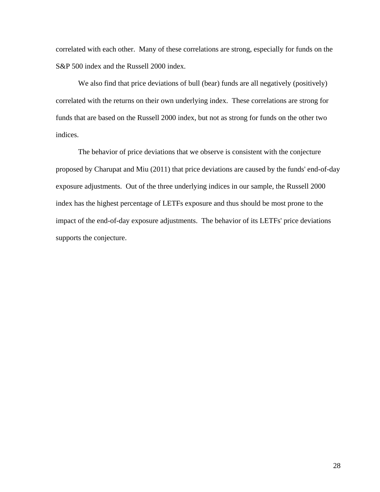correlated with each other. Many of these correlations are strong, especially for funds on the S&P 500 index and the Russell 2000 index.

We also find that price deviations of bull (bear) funds are all negatively (positively) correlated with the returns on their own underlying index. These correlations are strong for funds that are based on the Russell 2000 index, but not as strong for funds on the other two indices.

The behavior of price deviations that we observe is consistent with the conjecture proposed by Charupat and Miu (2011) that price deviations are caused by the funds' end-of-day exposure adjustments. Out of the three underlying indices in our sample, the Russell 2000 index has the highest percentage of LETFs exposure and thus should be most prone to the impact of the end-of-day exposure adjustments. The behavior of its LETFs' price deviations supports the conjecture.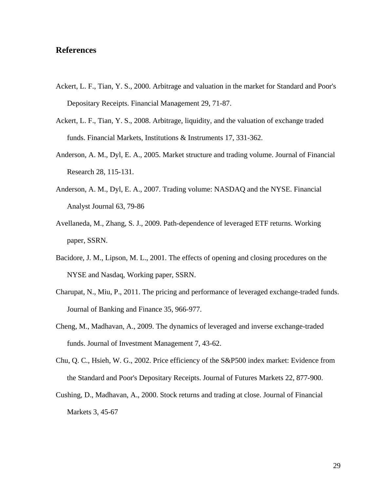# **References**

- Ackert, L. F., Tian, Y. S., 2000. Arbitrage and valuation in the market for Standard and Poor's Depositary Receipts. Financial Management 29, 71-87.
- Ackert, L. F., Tian, Y. S., 2008. Arbitrage, liquidity, and the valuation of exchange traded funds. Financial Markets, Institutions & Instruments 17, 331-362.
- Anderson, A. M., Dyl, E. A., 2005. Market structure and trading volume. Journal of Financial Research 28, 115-131.
- Anderson, A. M., Dyl, E. A., 2007. Trading volume: NASDAQ and the NYSE. Financial Analyst Journal 63, 79-86
- Avellaneda, M., Zhang, S. J., 2009. Path-dependence of leveraged ETF returns. Working paper, SSRN.
- Bacidore, J. M., Lipson, M. L., 2001. The effects of opening and closing procedures on the NYSE and Nasdaq, Working paper, SSRN.
- Charupat, N., Miu, P., 2011. The pricing and performance of leveraged exchange-traded funds. Journal of Banking and Finance 35, 966-977.
- Cheng, M., Madhavan, A., 2009. The dynamics of leveraged and inverse exchange-traded funds. Journal of Investment Management 7, 43-62.
- Chu, Q. C., Hsieh, W. G., 2002. Price efficiency of the S&P500 index market: Evidence from the Standard and Poor's Depositary Receipts. Journal of Futures Markets 22, 877-900.
- Cushing, D., Madhavan, A., 2000. Stock returns and trading at close. Journal of Financial Markets 3, 45-67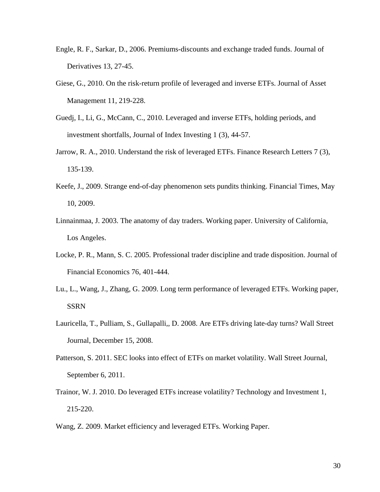- Engle, R. F., Sarkar, D., 2006. Premiums-discounts and exchange traded funds. Journal of Derivatives 13, 27-45.
- Giese, G., 2010. On the risk-return profile of leveraged and inverse ETFs. Journal of Asset Management 11, 219-228.
- Guedj, I., Li, G., McCann, C., 2010. Leveraged and inverse ETFs, holding periods, and investment shortfalls, Journal of Index Investing 1 (3), 44-57.
- Jarrow, R. A., 2010. Understand the risk of leveraged ETFs. Finance Research Letters 7 (3), 135-139.
- Keefe, J., 2009. Strange end-of-day phenomenon sets pundits thinking. Financial Times, May 10, 2009.
- Linnainmaa, J. 2003. The anatomy of day traders. Working paper. University of California, Los Angeles.
- Locke, P. R., Mann, S. C. 2005. Professional trader discipline and trade disposition. Journal of Financial Economics 76, 401-444.
- Lu., L., Wang, J., Zhang, G. 2009. Long term performance of leveraged ETFs. Working paper, SSRN
- Lauricella, T., Pulliam, S., Gullapalli,, D. 2008. Are ETFs driving late-day turns? Wall Street Journal, December 15, 2008.
- Patterson, S. 2011. SEC looks into effect of ETFs on market volatility. Wall Street Journal, September 6, 2011.
- Trainor, W. J. 2010. Do leveraged ETFs increase volatility? Technology and Investment 1, 215-220.
- Wang, Z. 2009. Market efficiency and leveraged ETFs. Working Paper.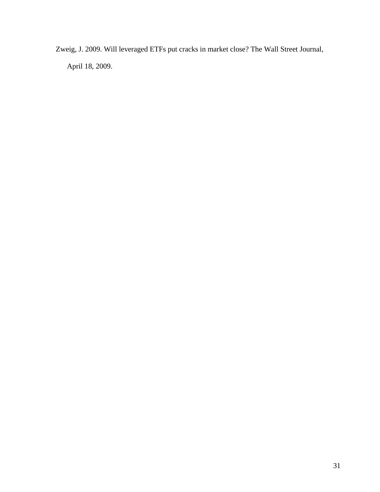Zweig, J. 2009. Will leveraged ETFs put cracks in market close? The Wall Street Journal, April 18, 2009.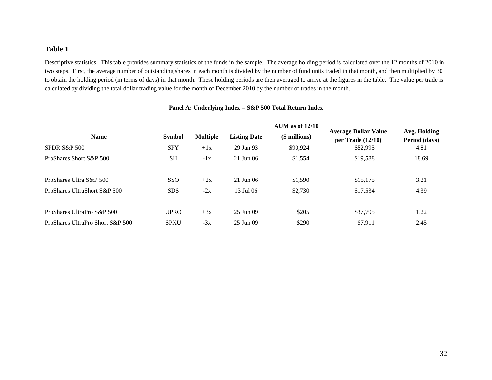Descriptive statistics. This table provides summary statistics of the funds in the sample. The average holding period is calculated over the 12 months of 2010 in two steps. First, the average number of outstanding shares in each month is divided by the number of fund units traded in that month, and then multiplied by 30 to obtain the holding period (in terms of days) in that month. These holding periods are then averaged to arrive at the figures in the table. The value per trade is calculated by dividing the total dollar trading value for the month of December 2010 by the number of trades in the month.

| Panel A: Underlying Index = $S\&P 500$ Total Return Index                                                                                                                                           |             |       |             |          |          |       |  |  |  |  |
|-----------------------------------------------------------------------------------------------------------------------------------------------------------------------------------------------------|-------------|-------|-------------|----------|----------|-------|--|--|--|--|
| AUM as of $12/10$<br><b>Average Dollar Value</b><br>Avg. Holding<br>(\$ millions)<br><b>Multiple</b><br><b>Name</b><br><b>Listing Date</b><br><b>Symbol</b><br>Period (days)<br>per Trade $(12/10)$ |             |       |             |          |          |       |  |  |  |  |
| <b>SPDR S&amp;P 500</b>                                                                                                                                                                             | <b>SPY</b>  | $+1x$ | 29 Jan 93   | \$90,924 | \$52,995 | 4.81  |  |  |  |  |
| ProShares Short S&P 500                                                                                                                                                                             | <b>SH</b>   | $-1x$ | $21$ Jun 06 | \$1,554  | \$19,588 | 18.69 |  |  |  |  |
| ProShares Ultra S&P 500                                                                                                                                                                             | <b>SSO</b>  | $+2x$ | $21$ Jun 06 | \$1,590  | \$15,175 | 3.21  |  |  |  |  |
| ProShares UltraShort S&P 500                                                                                                                                                                        | <b>SDS</b>  | $-2x$ | 13 Jul 06   | \$2,730  | \$17,534 | 4.39  |  |  |  |  |
| ProShares UltraPro S&P 500                                                                                                                                                                          | <b>UPRO</b> | $+3x$ | 25 Jun 09   | \$205    | \$37,795 | 1.22  |  |  |  |  |
| ProShares UltraPro Short S&P 500                                                                                                                                                                    | <b>SPXU</b> | $-3x$ | 25 Jun 09   | \$290    | \$7,911  | 2.45  |  |  |  |  |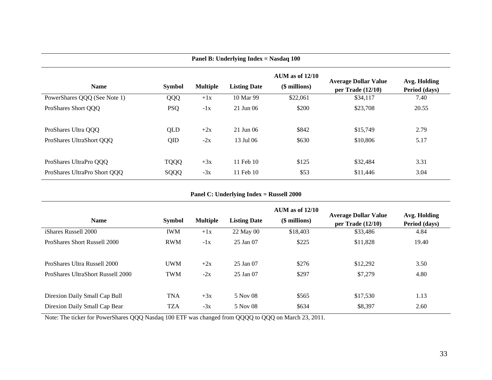| Panel B: Underlying Index = Nasdaq 100 |               |                 |                     |                                    |                                                    |                               |  |  |  |
|----------------------------------------|---------------|-----------------|---------------------|------------------------------------|----------------------------------------------------|-------------------------------|--|--|--|
| <b>Name</b>                            | <b>Symbol</b> | <b>Multiple</b> | <b>Listing Date</b> | AUM as of $12/10$<br>(\$ millions) | <b>Average Dollar Value</b><br>per Trade $(12/10)$ | Avg. Holding<br>Period (days) |  |  |  |
| PowerShares QQQ (See Note 1)           | QQQ           | $+1x$           | 10 Mar 99           | \$22,061                           | \$34,117                                           | 7.40                          |  |  |  |
| ProShares Short OOO                    | <b>PSQ</b>    | $-1x$           | 21 Jun 06           | \$200                              | \$23,708                                           | 20.55                         |  |  |  |
| ProShares Ultra OOO                    | QLD           | $+2x$           | $21$ Jun 06         | \$842                              | \$15,749                                           | 2.79                          |  |  |  |
| ProShares UltraShort OOO               | QID           | $-2x$           | 13 Jul 06           | \$630                              | \$10,806                                           | 5.17                          |  |  |  |
| ProShares UltraPro OOO                 | <b>TQQQ</b>   | $+3x$           | 11 Feb 10           | \$125                              | \$32,484                                           | 3.31                          |  |  |  |
| ProShares UltraPro Short QQQ           | SQQQ          | $-3x$           | $11$ Feb $10$       | \$53                               | \$11,446                                           | 3.04                          |  |  |  |

**Panel C: Underlying Index = Russell 2000**

| <b>Name</b>                              | <b>Symbol</b> | <b>Multiple</b> | <b>Listing Date</b> | $AUM$ as of $12/10$<br>(\$ millions) | <b>Average Dollar Value</b><br>per Trade $(12/10)$ | Avg. Holding<br>Period (days) |
|------------------------------------------|---------------|-----------------|---------------------|--------------------------------------|----------------------------------------------------|-------------------------------|
| iShares Russell 2000                     | <b>IWM</b>    | $+1x$           | 22 May 00           | \$18,403                             | \$33,486                                           | 4.84                          |
| ProShares Short Russell 2000             | <b>RWM</b>    | $-1x$           | 25 Jan 07           | \$225                                | \$11,828                                           | 19.40                         |
| ProShares Ultra Russell 2000             | <b>UWM</b>    | $+2x$           | 25 Jan 07           | \$276                                | \$12,292                                           | 3.50                          |
| <b>ProShares UltraShort Russell 2000</b> | <b>TWM</b>    | $-2x$           | 25 Jan 07           | \$297                                | \$7,279                                            | 4.80                          |
| Direxion Daily Small Cap Bull            | <b>TNA</b>    | $+3x$           | 5 Nov 08            | \$565                                | \$17,530                                           | 1.13                          |
| Direxion Daily Small Cap Bear            | <b>TZA</b>    | $-3x$           | 5 Nov 08            | \$634                                | \$8,397                                            | 2.60                          |

Note: The ticker for PowerShares QQQ Nasdaq 100 ETF was changed from QQQQ to QQQ on March 23, 2011.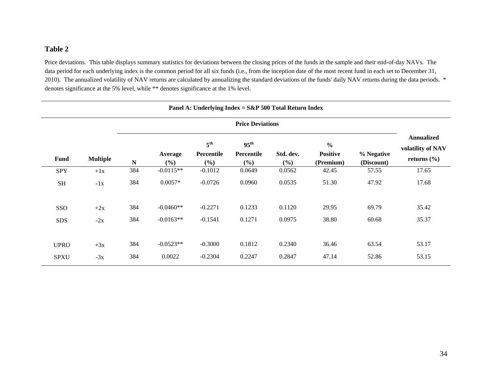Price deviations. This table displays summary statistics for deviations between the closing prices of the funds in the sample and their end-of-day NAVs. The data period for each underlying index is the common period for all six funds (i.e., from the inception date of the most recent fund in each set to December 31, 2010). The annualized volatility of NAV returns are calculated by annualizing the standard deviations of the funds' daily NAV returns during the data periods. \* denotes significance at the 5% level, while \*\* denotes significance at the 1% level.

| Panel A: Underlying Index = $S\&P 500$ Total Return Index |                 |             |                |                                      |                                       |                  |                                               |                          |                                                           |  |
|-----------------------------------------------------------|-----------------|-------------|----------------|--------------------------------------|---------------------------------------|------------------|-----------------------------------------------|--------------------------|-----------------------------------------------------------|--|
| <b>Price Deviations</b>                                   |                 |             |                |                                      |                                       |                  |                                               |                          |                                                           |  |
| <b>Fund</b>                                               | <b>Multiple</b> | $\mathbf N$ | Average<br>(%) | $5^{\text{th}}$<br>Percentile<br>(%) | $95^{\text{th}}$<br>Percentile<br>(%) | Std. dev.<br>(%) | $\frac{6}{6}$<br><b>Positive</b><br>(Premium) | % Negative<br>(Discount) | <b>Annualized</b><br>volatility of NAV<br>returns $(\% )$ |  |
| <b>SPY</b>                                                | $+1x$           | 384         | $-0.0115**$    | $-0.1012$                            | 0.0649                                | 0.0562           | 42.45                                         | 57.55                    | 17.65                                                     |  |
| <b>SH</b>                                                 | $-1x$           | 384         | $0.0057*$      | $-0.0726$                            | 0.0960                                | 0.0535           | 51.30                                         | 47.92                    | 17.68                                                     |  |
| SSO                                                       | $+2x$           | 384         | $-0.0460**$    | $-0.2271$                            | 0.1233                                | 0.1120           | 29.95                                         | 69.79                    | 35.42                                                     |  |
| <b>SDS</b>                                                | $-2x$           | 384         | $-0.0163**$    | $-0.1541$                            | 0.1271                                | 0.0975           | 38.80                                         | 60.68                    | 35.37                                                     |  |
| <b>UPRO</b>                                               | $+3x$           | 384         | $-0.0523**$    | $-0.3000$                            | 0.1812                                | 0.2340           | 36.46                                         | 63.54                    | 53.17                                                     |  |
| <b>SPXU</b>                                               | $-3x$           | 384         | 0.0022         | $-0.2304$                            | 0.2247                                | 0.2847           | 47.14                                         | 52.86                    | 53.15                                                     |  |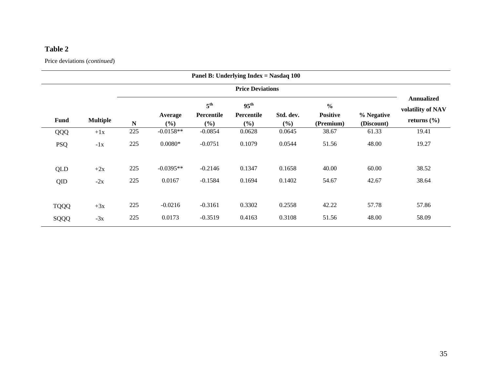Price deviations (*continued*)

|                         | Panel B: Underlying Index = Nasdaq 100 |           |                |                                      |                                              |                  |                                               |                          |                                                           |  |  |
|-------------------------|----------------------------------------|-----------|----------------|--------------------------------------|----------------------------------------------|------------------|-----------------------------------------------|--------------------------|-----------------------------------------------------------|--|--|
| <b>Price Deviations</b> |                                        |           |                |                                      |                                              |                  |                                               |                          |                                                           |  |  |
| <b>Fund</b>             | <b>Multiple</b>                        | ${\bf N}$ | Average<br>(%) | 5 <sup>th</sup><br>Percentile<br>(%) | $95^{\text{th}}$<br><b>Percentile</b><br>(%) | Std. dev.<br>(%) | $\frac{6}{6}$<br><b>Positive</b><br>(Premium) | % Negative<br>(Discount) | <b>Annualized</b><br>volatility of NAV<br>returns $(\% )$ |  |  |
| QQQ                     | $+1x$                                  | 225       | $-0.0158**$    | $-0.0854$                            | 0.0628                                       | 0.0645           | 38.67                                         | 61.33                    | 19.41                                                     |  |  |
| <b>PSQ</b>              | $-1x$                                  | 225       | $0.0080*$      | $-0.0751$                            | 0.1079                                       | 0.0544           | 51.56                                         | 48.00                    | 19.27                                                     |  |  |
| QLD                     | $+2x$                                  | 225       | $-0.0395**$    | $-0.2146$                            | 0.1347                                       | 0.1658           | 40.00                                         | 60.00                    | 38.52                                                     |  |  |
| QID                     | $-2x$                                  | 225       | 0.0167         | $-0.1584$                            | 0.1694                                       | 0.1402           | 54.67                                         | 42.67                    | 38.64                                                     |  |  |
| <b>TQQQ</b>             | $+3x$                                  | 225       | $-0.0216$      | $-0.3161$                            | 0.3302                                       | 0.2558           | 42.22                                         | 57.78                    | 57.86                                                     |  |  |
| SQQQ                    | $-3x$                                  | 225       | 0.0173         | $-0.3519$                            | 0.4163                                       | 0.3108           | 51.56                                         | 48.00                    | 58.09                                                     |  |  |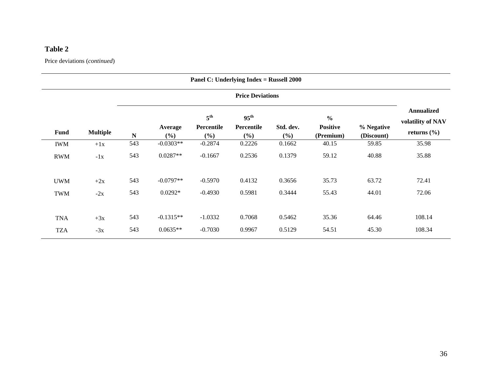Price deviations (*continued*)

|                         | Panel C: Underlying Index = Russell 2000 |             |                   |                                      |                                       |                  |                                               |                          |                                                           |  |  |
|-------------------------|------------------------------------------|-------------|-------------------|--------------------------------------|---------------------------------------|------------------|-----------------------------------------------|--------------------------|-----------------------------------------------------------|--|--|
| <b>Price Deviations</b> |                                          |             |                   |                                      |                                       |                  |                                               |                          |                                                           |  |  |
| <b>Fund</b>             | <b>Multiple</b>                          | $\mathbf N$ | Average<br>$(\%)$ | 5 <sup>th</sup><br>Percentile<br>(%) | $95^{\text{th}}$<br>Percentile<br>(%) | Std. dev.<br>(%) | $\frac{0}{0}$<br><b>Positive</b><br>(Premium) | % Negative<br>(Discount) | <b>Annualized</b><br>volatility of NAV<br>returns $(\% )$ |  |  |
| <b>IWM</b>              | $+1x$                                    | 543         | $-0.0303**$       | $-0.2874$                            | 0.2226                                | 0.1662           | 40.15                                         | 59.85                    | 35.98                                                     |  |  |
| <b>RWM</b>              | $-1x$                                    | 543         | $0.0287**$        | $-0.1667$                            | 0.2536                                | 0.1379           | 59.12                                         | 40.88                    | 35.88                                                     |  |  |
| <b>UWM</b>              | $+2x$                                    | 543         | $-0.0797**$       | $-0.5970$                            | 0.4132                                | 0.3656           | 35.73                                         | 63.72                    | 72.41                                                     |  |  |
| <b>TWM</b>              | $-2x$                                    | 543         | $0.0292*$         | $-0.4930$                            | 0.5981                                | 0.3444           | 55.43                                         | 44.01                    | 72.06                                                     |  |  |
|                         |                                          |             |                   |                                      |                                       |                  |                                               |                          |                                                           |  |  |
| <b>TNA</b>              | $+3x$                                    | 543         | $-0.1315**$       | $-1.0332$                            | 0.7068                                | 0.5462           | 35.36                                         | 64.46                    | 108.14                                                    |  |  |
| <b>TZA</b>              | $-3x$                                    | 543         | $0.0635**$        | $-0.7030$                            | 0.9967                                | 0.5129           | 54.51                                         | 45.30                    | 108.34                                                    |  |  |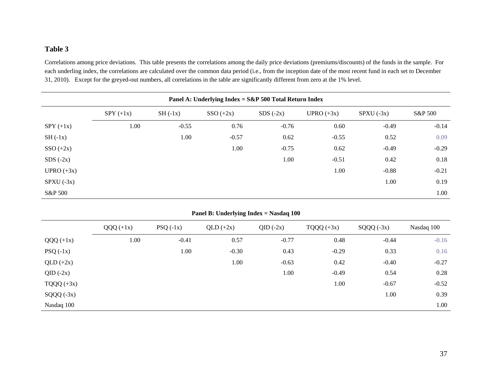Correlations among price deviations. This table presents the correlations among the daily price deviations (premiums/discounts) of the funds in the sample. For each underling index, the correlations are calculated over the common data period (i.e., from the inception date of the most recent fund in each set to December 31, 2010). Except for the greyed-out numbers, all correlations in the table are significantly different from zero at the 1% level.

| Panel A: Underlying Index = S&P 500 Total Return Index |             |           |             |            |              |              |         |  |  |  |
|--------------------------------------------------------|-------------|-----------|-------------|------------|--------------|--------------|---------|--|--|--|
|                                                        | $SPY (+1x)$ | $SH(-1x)$ | $SSO (+2x)$ | $SDS(-2x)$ | UPRO $(+3x)$ | $SPXU (-3x)$ | S&P 500 |  |  |  |
| $SPY (+1x)$                                            | 1.00        | $-0.55$   | 0.76        | $-0.76$    | 0.60         | $-0.49$      | $-0.14$ |  |  |  |
| $SH(-1x)$                                              |             | 1.00      | $-0.57$     | 0.62       | $-0.55$      | 0.52         | 0.09    |  |  |  |
| $SSO (+2x)$                                            |             |           | 1.00        | $-0.75$    | 0.62         | $-0.49$      | $-0.29$ |  |  |  |
| SDS(.2x)                                               |             |           |             | 1.00       | $-0.51$      | 0.42         | 0.18    |  |  |  |
| UPRO $(+3x)$                                           |             |           |             |            | 1.00         | $-0.88$      | $-0.21$ |  |  |  |
| $SPXU (-3x)$                                           |             |           |             |            |              | 1.00         | 0.19    |  |  |  |
| S&P 500                                                |             |           |             |            |              |              | 1.00    |  |  |  |

| Panel B: Underlying Index = Nasdaq 100 |             |            |             |            |              |             |            |  |  |  |  |
|----------------------------------------|-------------|------------|-------------|------------|--------------|-------------|------------|--|--|--|--|
|                                        | $QQQ (+1x)$ | $PSQ(-1x)$ | $QLD (+2x)$ | $QID(-2x)$ | $TQQQ (+3x)$ | $SQQQ(-3x)$ | Nasdaq 100 |  |  |  |  |
| $QQQ (+1x)$                            | 1.00        | $-0.41$    | 0.57        | $-0.77$    | 0.48         | $-0.44$     | $-0.16$    |  |  |  |  |
| $PSQ(-1x)$                             |             | 1.00       | $-0.30$     | 0.43       | $-0.29$      | 0.33        | 0.16       |  |  |  |  |
| $QLD (+2x)$                            |             |            | 1.00        | $-0.63$    | 0.42         | $-0.40$     | $-0.27$    |  |  |  |  |
| $QID(-2x)$                             |             |            |             | 1.00       | $-0.49$      | 0.54        | 0.28       |  |  |  |  |
| $TQQQ (+3x)$                           |             |            |             |            | 1.00         | $-0.67$     | $-0.52$    |  |  |  |  |
| $SQQQ (-3x)$                           |             |            |             |            |              | 1.00        | 0.39       |  |  |  |  |
| Nasdaq 100                             |             |            |             |            |              |             | 1.00       |  |  |  |  |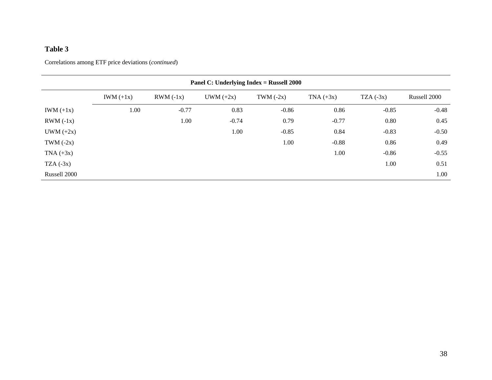| Panel C: Underlying Index = Russell 2000 |             |             |             |             |             |             |              |  |  |  |  |
|------------------------------------------|-------------|-------------|-------------|-------------|-------------|-------------|--------------|--|--|--|--|
|                                          | $IWM (+1x)$ | $RWM (-1x)$ | $UWM (+2x)$ | TWM $(-2x)$ | $TNA (+3x)$ | $TZA (-3x)$ | Russell 2000 |  |  |  |  |
| IWM $(+1x)$                              | 1.00        | $-0.77$     | 0.83        | $-0.86$     | 0.86        | $-0.85$     | $-0.48$      |  |  |  |  |
| $RWM (-1x)$                              |             | 1.00        | $-0.74$     | 0.79        | $-0.77$     | 0.80        | 0.45         |  |  |  |  |
| $UWM (+2x)$                              |             |             | 1.00        | $-0.85$     | 0.84        | $-0.83$     | $-0.50$      |  |  |  |  |
| TWM $(-2x)$                              |             |             |             | 1.00        | $-0.88$     | 0.86        | 0.49         |  |  |  |  |
| $TNA (+3x)$                              |             |             |             |             | 1.00        | $-0.86$     | $-0.55$      |  |  |  |  |
| $TZA (-3x)$                              |             |             |             |             |             | 1.00        | 0.51         |  |  |  |  |
| Russell 2000                             |             |             |             |             |             |             | 1.00         |  |  |  |  |

Correlations among ETF price deviations (*continued*)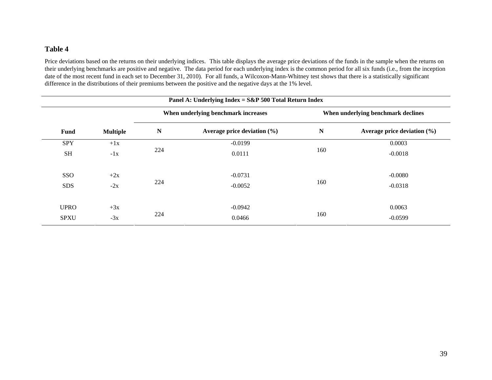Price deviations based on the returns on their underlying indices. This table displays the average price deviations of the funds in the sample when the returns on their underlying benchmarks are positive and negative. The data period for each underlying index is the common period for all six funds (i.e., from the inception date of the most recent fund in each set to December 31, 2010). For all funds, a Wilcoxon-Mann-Whitney test shows that there is a statistically significant difference in the distributions of their premiums between the positive and the negative days at the 1% level.

|             | Panel A: Underlying Index = $S\&P 500$ Total Return Index |           |                                     |                                    |                                 |  |  |  |  |  |  |
|-------------|-----------------------------------------------------------|-----------|-------------------------------------|------------------------------------|---------------------------------|--|--|--|--|--|--|
|             |                                                           |           | When underlying benchmark increases | When underlying benchmark declines |                                 |  |  |  |  |  |  |
| Fund        | <b>Multiple</b>                                           | ${\bf N}$ | Average price deviation $(\% )$     | N                                  | Average price deviation $(\% )$ |  |  |  |  |  |  |
| <b>SPY</b>  | $+1x$                                                     |           | $-0.0199$                           |                                    | 0.0003                          |  |  |  |  |  |  |
| <b>SH</b>   | $-1x$                                                     | 224       | 0.0111                              | 160                                | $-0.0018$                       |  |  |  |  |  |  |
| SSO         | $+2x$                                                     |           | $-0.0731$                           |                                    | $-0.0080$                       |  |  |  |  |  |  |
| <b>SDS</b>  | $-2x$                                                     | 224       | $-0.0052$                           | 160                                | $-0.0318$                       |  |  |  |  |  |  |
| <b>UPRO</b> | $+3x$                                                     |           | $-0.0942$                           |                                    | 0.0063                          |  |  |  |  |  |  |
| <b>SPXU</b> | $-3x$                                                     | 224       | 0.0466                              | 160                                | $-0.0599$                       |  |  |  |  |  |  |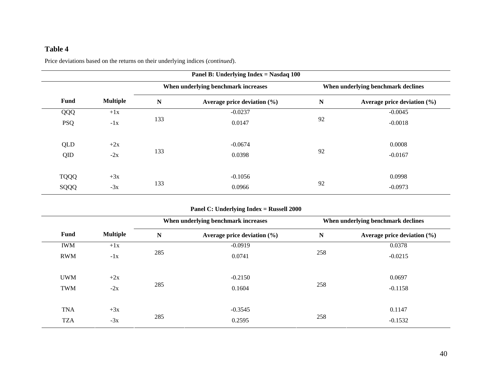Price deviations based on the returns on their underlying indices (*continued*).

|             | Panel B: Underlying Index = Nasdaq 100 |     |                                     |             |                                    |  |  |  |  |  |  |
|-------------|----------------------------------------|-----|-------------------------------------|-------------|------------------------------------|--|--|--|--|--|--|
|             |                                        |     | When underlying benchmark increases |             | When underlying benchmark declines |  |  |  |  |  |  |
| <b>Fund</b> | <b>Multiple</b>                        | N   | Average price deviation $(\% )$     | $\mathbf N$ | Average price deviation $(\% )$    |  |  |  |  |  |  |
| QQQ         | $+1x$                                  |     | $-0.0237$                           |             | $-0.0045$                          |  |  |  |  |  |  |
| <b>PSQ</b>  | $-1x$                                  | 133 | 0.0147                              | 92          | $-0.0018$                          |  |  |  |  |  |  |
| QLD         | $+2x$                                  |     | $-0.0674$                           |             | 0.0008                             |  |  |  |  |  |  |
| QID         | $-2x$                                  | 133 | 0.0398                              | 92          | $-0.0167$                          |  |  |  |  |  |  |
| <b>TQQQ</b> | $+3x$                                  |     | $-0.1056$                           |             | 0.0998                             |  |  |  |  |  |  |
| SQQQ        | $-3x$                                  | 133 | 0.0966                              | 92          | $-0.0973$                          |  |  |  |  |  |  |

### **Panel C: Underlying Index = Russell 2000**

|             |                 |             | When underlying benchmark increases | When underlying benchmark declines |                             |  |
|-------------|-----------------|-------------|-------------------------------------|------------------------------------|-----------------------------|--|
| <b>Fund</b> | <b>Multiple</b> | $\mathbf N$ | Average price deviation (%)         | N                                  | Average price deviation (%) |  |
| <b>IWM</b>  | $+1x$           |             | $-0.0919$                           |                                    | 0.0378                      |  |
| <b>RWM</b>  | $-1x$           | 285         | 0.0741                              | 258                                | $-0.0215$                   |  |
| <b>UWM</b>  | $+2x$           |             | $-0.2150$                           |                                    | 0.0697                      |  |
| <b>TWM</b>  | $-2x$           | 285         | 0.1604                              | 258                                | $-0.1158$                   |  |
| <b>TNA</b>  | $+3x$           |             | $-0.3545$                           |                                    | 0.1147                      |  |
| <b>TZA</b>  | $-3x$           | 285         | 0.2595                              | 258                                | $-0.1532$                   |  |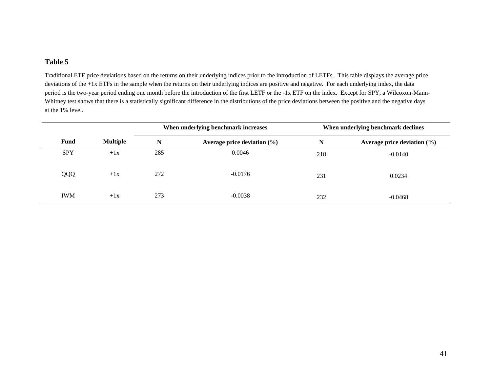Traditional ETF price deviations based on the returns on their underlying indices prior to the introduction of LETFs. This table displays the average price deviations of the +1x ETFs in the sample when the returns on their underlying indices are positive and negative. For each underlying index, the data period is the two-year period ending one month before the introduction of the first LETF or the -1x ETF on the index. Except for SPY, a Wilcoxon-Mann-Whitney test shows that there is a statistically significant difference in the distributions of the price deviations between the positive and the negative days at the 1% level.

|            |                 | When underlying benchmark increases |                                 | When underlying benchmark declines |                                 |  |
|------------|-----------------|-------------------------------------|---------------------------------|------------------------------------|---------------------------------|--|
| Fund       | <b>Multiple</b> | N                                   | Average price deviation $(\% )$ | N                                  | Average price deviation $(\% )$ |  |
| <b>SPY</b> | $+1x$           | 285                                 | 0.0046                          | 218                                | $-0.0140$                       |  |
| QQQ        | $+1x$           | 272                                 | $-0.0176$                       | 231                                | 0.0234                          |  |
| <b>IWM</b> | $+1x$           | 273                                 | $-0.0038$                       | 232                                | $-0.0468$                       |  |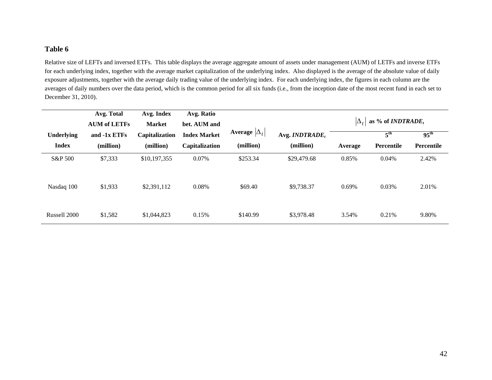Relative size of LEFTs and inversed ETFs. This table displays the average aggregate amount of assets under management (AUM) of LETFs and inverse ETFs for each underlying index, together with the average market capitalization of the underlying index. Also displayed is the average of the absolute value of daily exposure adjustments, together with the average daily trading value of the underlying index. For each underlying index, the figures in each column are the averages of daily numbers over the data period, which is the common period for all six funds (i.e., from the inception date of the most recent fund in each set to December 31, 2010).

|                   | Avg. Total<br><b>AUM of LETFs</b> | Avg. Index<br><b>Market</b> | Avg. Ratio<br>bet. AUM and |                      |                   | $ \Delta_+ $ | as % of <i>INDTRADE</i> <sub>t</sub> |                  |
|-------------------|-----------------------------------|-----------------------------|----------------------------|----------------------|-------------------|--------------|--------------------------------------|------------------|
| <b>Underlying</b> | and -1x ETFs                      | Capitalization              | <b>Index Market</b>        | Average $ \Delta_t $ | Avg. $INDTRADE_t$ |              | 5 <sup>th</sup>                      | $95^{\text{th}}$ |
| <b>Index</b>      | (million)                         | (million)                   | Capitalization             | (million)            | (million)         | Average      | Percentile                           | Percentile       |
| S&P 500           | \$7,333                           | \$10,197,355                | 0.07%                      | \$253.34             | \$29,479.68       | 0.85%        | 0.04%                                | 2.42%            |
| Nasdaq 100        | \$1,933                           | \$2,391,112                 | 0.08%                      | \$69.40              | \$9,738.37        | 0.69%        | 0.03%                                | 2.01%            |
| Russell 2000      | \$1,582                           | \$1,044,823                 | 0.15%                      | \$140.99             | \$3,978.48        | 3.54%        | 0.21%                                | 9.80%            |